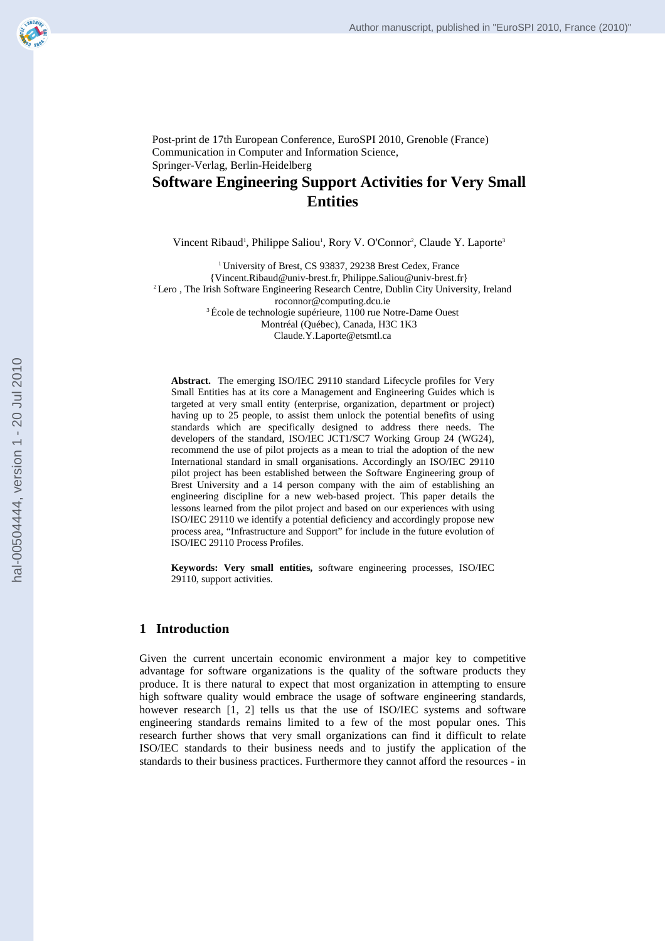Post-print de 17th European Conference, EuroSPI 2010, Grenoble (France) Communication in Computer and Information Science, Springer-Verlag, Berlin-Heidelberg

# **Software Engineering Support Activities for Very Small Entities**

Vincent Ribaud<sup>1</sup>, Philippe Saliou<sup>1</sup>, Rory V. O'Connor<sup>2</sup>, Claude Y. Laporte<sup>3</sup>

<sup>1</sup>University of Brest, CS 93837, 29238 Brest Cedex, France {Vincent.Ribaud@univ-brest.fr, Philippe.Saliou@univ-brest.fr} <sup>2</sup> Lero, The Irish Software Engineering Research Centre, Dublin City University, Ireland roconnor@computing.dcu.ie <sup>3</sup>École de technologie supérieure, 1100 rue Notre-Dame Ouest Montréal (Québec), Canada, H3C 1K3 Claude.Y.Laporte@etsmtl.ca

**Abstract.** The emerging ISO/IEC 29110 standard Lifecycle profiles for Very Small Entities has at its core a Management and Engineering Guides which is targeted at very small entity (enterprise, organization, department or project) having up to 25 people, to assist them unlock the potential benefits of using standards which are specifically designed to address there needs. The developers of the standard, ISO/IEC JCT1/SC7 Working Group 24 (WG24), recommend the use of pilot projects as a mean to trial the adoption of the new International standard in small organisations. Accordingly an ISO/IEC 29110 pilot project has been established between the Software Engineering group of Brest University and a 14 person company with the aim of establishing an engineering discipline for a new web-based project. This paper details the lessons learned from the pilot project and based on our experiences with using ISO/IEC 29110 we identify a potential deficiency and accordingly propose new process area, "Infrastructure and Support" for include in the future evolution of ISO/IEC 29110 Process Profiles.

**Keywords: Very small entities,** software engineering processes, ISO/IEC 29110, support activities.

# **1 Introduction**

Given the current uncertain economic environment a major key to competitive advantage for software organizations is the quality of the software products they produce. It is there natural to expect that most organization in attempting to ensure high software quality would embrace the usage of software engineering standards, however research [1, 2] tells us that the use of ISO/IEC systems and software engineering standards remains limited to a few of the most popular ones. This research further shows that very small organizations can find it difficult to relate ISO/IEC standards to their business needs and to justify the application of the standards to their business practices. Furthermore they cannot afford the resources - in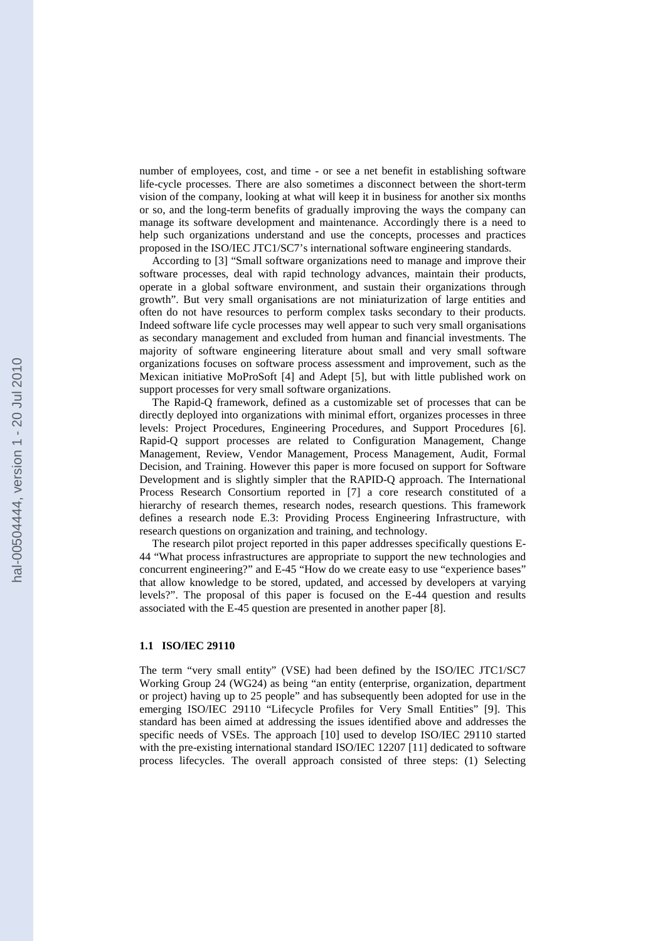number of employees, cost, and time - or see a net benefit in establishing software life-cycle processes. There are also sometimes a disconnect between the short-term vision of the company, looking at what will keep it in business for another six months or so, and the long-term benefits of gradually improving the ways the company can manage its software development and maintenance. Accordingly there is a need to help such organizations understand and use the concepts, processes and practices proposed in the ISO/IEC JTC1/SC7's international software engineering standards.

According to [3] "Small software organizations need to manage and improve their software processes, deal with rapid technology advances, maintain their products, operate in a global software environment, and sustain their organizations through growth". But very small organisations are not miniaturization of large entities and often do not have resources to perform complex tasks secondary to their products. Indeed software life cycle processes may well appear to such very small organisations as secondary management and excluded from human and financial investments. The majority of software engineering literature about small and very small software organizations focuses on software process assessment and improvement, such as the Mexican initiative MoProSoft [4] and Adept [5], but with little published work on support processes for very small software organizations.

The Rapid-Q framework, defined as a customizable set of processes that can be directly deployed into organizations with minimal effort, organizes processes in three levels: Project Procedures, Engineering Procedures, and Support Procedures [6]. Rapid-Q support processes are related to Configuration Management, Change Management, Review, Vendor Management, Process Management, Audit, Formal Decision, and Training. However this paper is more focused on support for Software Development and is slightly simpler that the RAPID-Q approach. The International Process Research Consortium reported in [7] a core research constituted of a hierarchy of research themes, research nodes, research questions. This framework defines a research node E.3: Providing Process Engineering Infrastructure, with research questions on organization and training, and technology.

The research pilot project reported in this paper addresses specifically questions E-44 "What process infrastructures are appropriate to support the new technologies and concurrent engineering?" and E-45 "How do we create easy to use "experience bases" that allow knowledge to be stored, updated, and accessed by developers at varying levels?". The proposal of this paper is focused on the E-44 question and results associated with the E-45 question are presented in another paper [8].

## **1.1 ISO/IEC 29110**

The term "very small entity" (VSE) had been defined by the ISO/IEC JTC1/SC7 Working Group 24 (WG24) as being "an entity (enterprise, organization, department or project) having up to 25 people" and has subsequently been adopted for use in the emerging ISO/IEC 29110 "Lifecycle Profiles for Very Small Entities" [9]. This standard has been aimed at addressing the issues identified above and addresses the specific needs of VSEs. The approach [10] used to develop ISO/IEC 29110 started with the pre-existing international standard ISO/IEC 12207 [11] dedicated to software process lifecycles. The overall approach consisted of three steps: (1) Selecting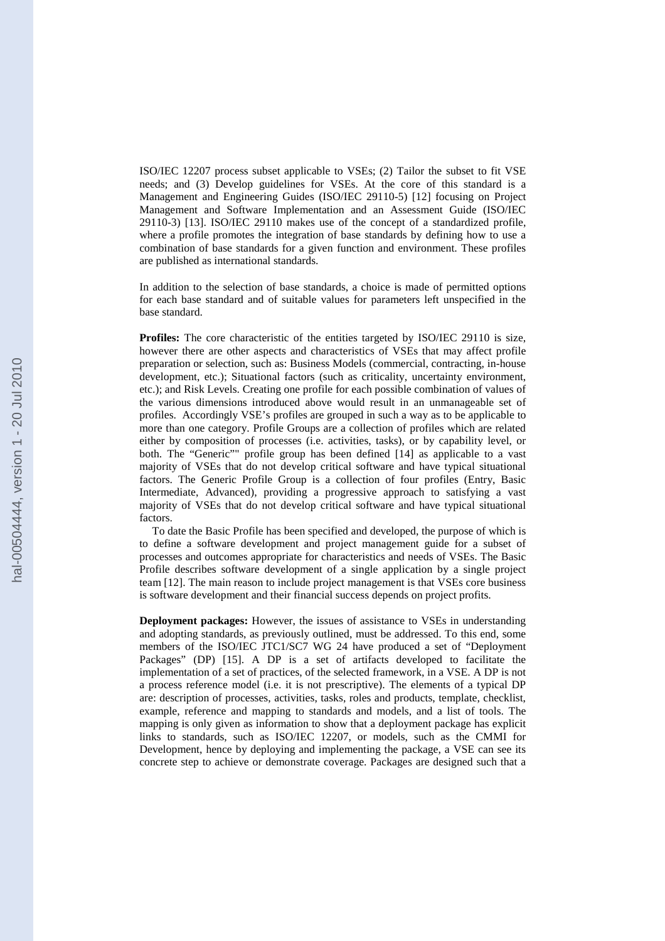ISO/IEC 12207 process subset applicable to VSEs; (2) Tailor the subset to fit VSE needs; and (3) Develop guidelines for VSEs. At the core of this standard is a Management and Engineering Guides (ISO/IEC 29110-5) [12] focusing on Project Management and Software Implementation and an Assessment Guide (ISO/IEC 29110-3) [13]. ISO/IEC 29110 makes use of the concept of a standardized profile, where a profile promotes the integration of base standards by defining how to use a combination of base standards for a given function and environment. These profiles are published as international standards.

In addition to the selection of base standards, a choice is made of permitted options for each base standard and of suitable values for parameters left unspecified in the base standard.

**Profiles:** The core characteristic of the entities targeted by ISO/IEC 29110 is size, however there are other aspects and characteristics of VSEs that may affect profile preparation or selection, such as: Business Models (commercial, contracting, in-house development, etc.); Situational factors (such as criticality, uncertainty environment, etc.); and Risk Levels. Creating one profile for each possible combination of values of the various dimensions introduced above would result in an unmanageable set of profiles. Accordingly VSE's profiles are grouped in such a way as to be applicable to more than one category. Profile Groups are a collection of profiles which are related either by composition of processes (i.e. activities, tasks), or by capability level, or both. The "Generic"" profile group has been defined [14] as applicable to a vast majority of VSEs that do not develop critical software and have typical situational factors. The Generic Profile Group is a collection of four profiles (Entry, Basic Intermediate, Advanced), providing a progressive approach to satisfying a vast majority of VSEs that do not develop critical software and have typical situational factors.

To date the Basic Profile has been specified and developed, the purpose of which is to define a software development and project management guide for a subset of processes and outcomes appropriate for characteristics and needs of VSEs. The Basic Profile describes software development of a single application by a single project team [12]. The main reason to include project management is that VSEs core business is software development and their financial success depends on project profits.

**Deployment packages:** However, the issues of assistance to VSEs in understanding and adopting standards, as previously outlined, must be addressed. To this end, some members of the ISO/IEC JTC1/SC7 WG 24 have produced a set of "Deployment Packages" (DP) [15]. A DP is a set of artifacts developed to facilitate the implementation of a set of practices, of the selected framework, in a VSE. A DP is not a process reference model (i.e. it is not prescriptive). The elements of a typical DP are: description of processes, activities, tasks, roles and products, template, checklist, example, reference and mapping to standards and models, and a list of tools. The mapping is only given as information to show that a deployment package has explicit links to standards, such as ISO/IEC 12207, or models, such as the CMMI for Development, hence by deploying and implementing the package, a VSE can see its concrete step to achieve or demonstrate coverage. Packages are designed such that a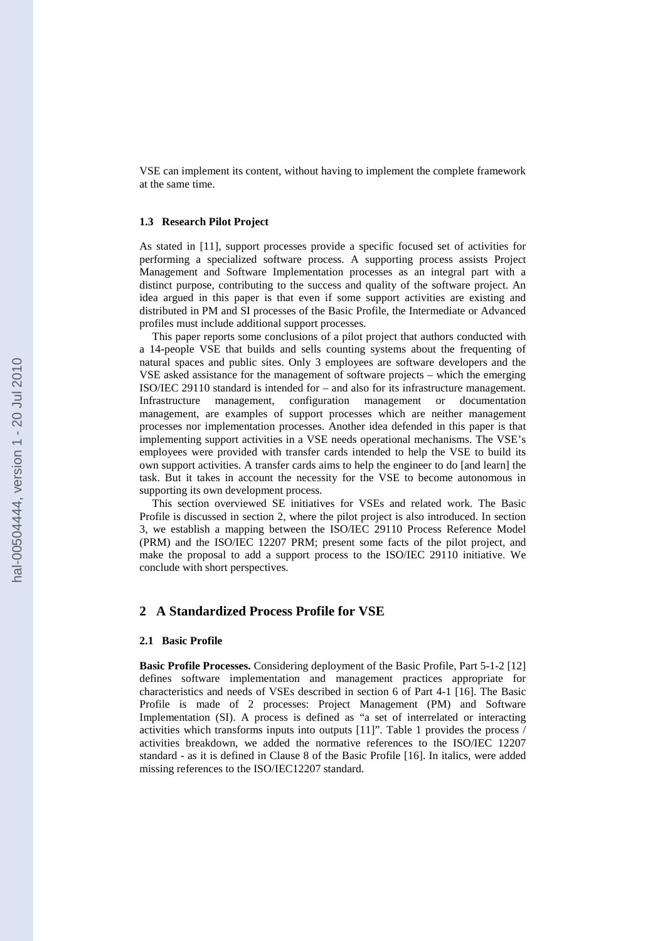VSE can implement its content, without having to implement the complete framework at the same time.

## **1.3 Research Pilot Project**

As stated in [11], support processes provide a specific focused set of activities for performing a specialized software process. A supporting process assists Project Management and Software Implementation processes as an integral part with a distinct purpose, contributing to the success and quality of the software project. An idea argued in this paper is that even if some support activities are existing and distributed in PM and SI processes of the Basic Profile, the Intermediate or Advanced profiles must include additional support processes.

This paper reports some conclusions of a pilot project that authors conducted with a 14-people VSE that builds and sells counting systems about the frequenting of natural spaces and public sites. Only 3 employees are software developers and the VSE asked assistance for the management of software projects – which the emerging ISO/IEC 29110 standard is intended for – and also for its infrastructure management. Infrastructure management, configuration management or documentation management, are examples of support processes which are neither management processes nor implementation processes. Another idea defended in this paper is that implementing support activities in a VSE needs operational mechanisms. The VSE's employees were provided with transfer cards intended to help the VSE to build its own support activities. A transfer cards aims to help the engineer to do [and learn] the task. But it takes in account the necessity for the VSE to become autonomous in supporting its own development process.

This section overviewed SE initiatives for VSEs and related work. The Basic Profile is discussed in section 2, where the pilot project is also introduced. In section 3, we establish a mapping between the ISO/IEC 29110 Process Reference Model (PRM) and the ISO/IEC 12207 PRM; present some facts of the pilot project, and make the proposal to add a support process to the ISO/IEC 29110 initiative. We conclude with short perspectives.

# **2 A Standardized Process Profile for VSE**

## **2.1 Basic Profile**

**Basic Profile Processes.** Considering deployment of the Basic Profile, Part 5-1-2 [12] defines software implementation and management practices appropriate for characteristics and needs of VSEs described in section 6 of Part 4-1 [16]. The Basic Profile is made of 2 processes: Project Management (PM) and Software Implementation (SI). A process is defined as "a set of interrelated or interacting activities which transforms inputs into outputs [11]". Table 1 provides the process / activities breakdown, we added the normative references to the ISO/IEC 12207 standard - as it is defined in Clause 8 of the Basic Profile [16]. In italics, were added missing references to the ISO/IEC12207 standard.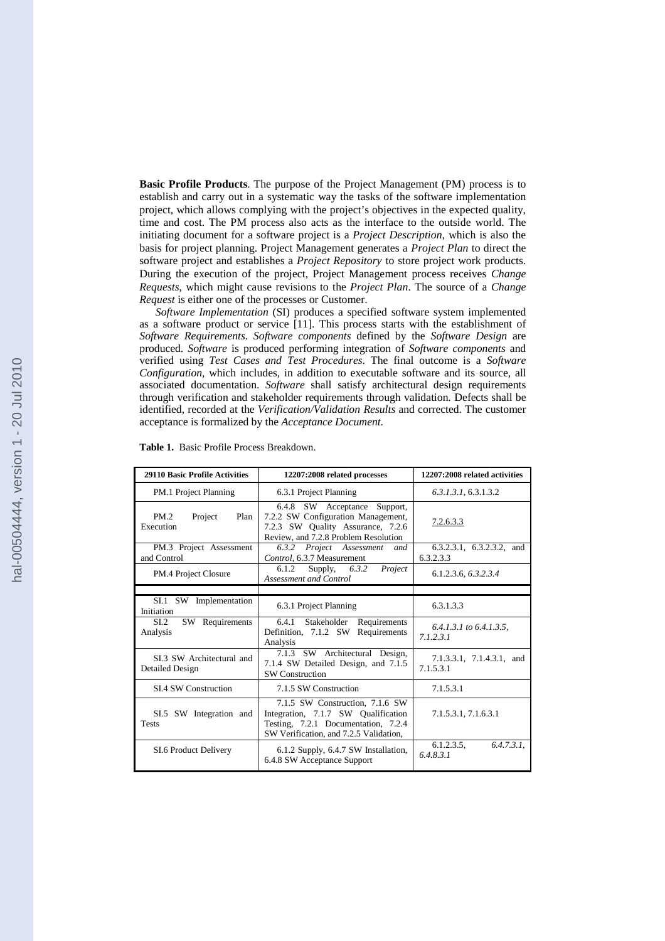**Basic Profile Products**. The purpose of the Project Management (PM) process is to establish and carry out in a systematic way the tasks of the software implementation project, which allows complying with the project's objectives in the expected quality, time and cost. The PM process also acts as the interface to the outside world. The initiating document for a software project is a *Project Description*, which is also the basis for project planning. Project Management generates a *Project Plan* to direct the software project and establishes a *Project Repository* to store project work products. During the execution of the project, Project Management process receives *Change Requests*, which might cause revisions to the *Project Plan*. The source of a *Change Request* is either one of the processes or Customer.

*Software Implementation* (SI) produces a specified software system implemented as a software product or service [11]. This process starts with the establishment of *Software Requirements*. *Software components* defined by the *Software Design* are produced. *Software* is produced performing integration of *Software components* and verified using *Test Cases and Test Procedures*. The final outcome is a *Software Configuration*, which includes, in addition to executable software and its source, all associated documentation. *Software* shall satisfy architectural design requirements through verification and stakeholder requirements through validation. Defects shall be identified, recorded at the *Verification/Validation Results* and corrected. The customer acceptance is formalized by the *Acceptance Document*.

| <b>29110 Basic Profile Activities</b>              | 12207:2008 related processes                                                                                                                            | 12207:2008 related activities             |
|----------------------------------------------------|---------------------------------------------------------------------------------------------------------------------------------------------------------|-------------------------------------------|
| PM.1 Project Planning                              | 6.3.1 Project Planning                                                                                                                                  | 6.3.1.3.1, 6.3.1.3.2                      |
| Plan<br>PM.2<br>Project<br>Execution               | 6.4.8 SW Acceptance<br>Support,<br>7.2.2 SW Configuration Management,<br>7.2.3 SW Quality Assurance, 7.2.6<br>Review, and 7.2.8 Problem Resolution      | 7.2.6.3.3                                 |
| PM.3 Project Assessment<br>and Control             | 6.3.2<br>Project Assessment<br>and<br>Control, 6.3.7 Measurement                                                                                        | 6.3.2.3.1, 6.3.2.3.2, and<br>6.3.2.3.3    |
| PM.4 Project Closure                               | Supply, $6.3.2$<br>6.1.2<br>Project<br>Assessment and Control                                                                                           | 6.1.2.3.6, 6.3.2.3.4                      |
|                                                    |                                                                                                                                                         |                                           |
| SI.1 SW Implementation<br>Initiation               | 6.3.1 Project Planning                                                                                                                                  | 6.3.1.3.3                                 |
| SL <sub>2</sub><br>SW.<br>Requirements<br>Analysis | Stakeholder<br>Requirements<br>6.4.1<br>Definition, 7.1.2 SW Requirements<br>Analysis                                                                   | $6.4.1.3.1$ to $6.4.1.3.5$ .<br>7.1.2.3.1 |
| SL3 SW Architectural and<br>Detailed Design        | 7.1.3 SW Architectural Design,<br>7.1.4 SW Detailed Design, and 7.1.5<br><b>SW</b> Construction                                                         | 7.1.3.3.1, 7.1.4.3.1, and<br>7.1.5.3.1    |
| SL4 SW Construction                                | 7.1.5 SW Construction                                                                                                                                   | 7.1.5.3.1                                 |
| SI.5 SW Integration and<br><b>Tests</b>            | 7.1.5 SW Construction, 7.1.6 SW<br>Integration, 7.1.7 SW Qualification<br>Testing, 7.2.1 Documentation, 7.2.4<br>SW Verification, and 7.2.5 Validation, | 7.1.5.3.1, 7.1.6.3.1                      |
| SI.6 Product Delivery                              | 6.1.2 Supply, 6.4.7 SW Installation,<br>6.4.8 SW Acceptance Support                                                                                     | 6.1.2.3.5.<br>$6.4.7.3.1$ .<br>64831      |

**Table 1.** Basic Profile Process Breakdown.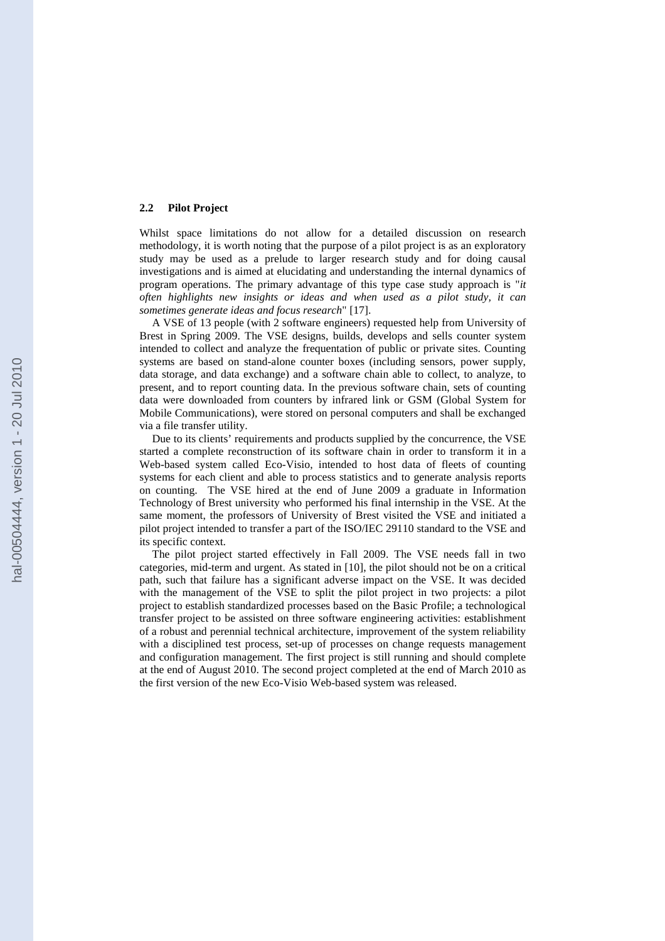## **2.2 Pilot Project**

Whilst space limitations do not allow for a detailed discussion on research methodology, it is worth noting that the purpose of a pilot project is as an exploratory study may be used as a prelude to larger research study and for doing causal investigations and is aimed at elucidating and understanding the internal dynamics of program operations. The primary advantage of this type case study approach is "*it often highlights new insights or ideas and when used as a pilot study, it can sometimes generate ideas and focus research*" [17].

A VSE of 13 people (with 2 software engineers) requested help from University of Brest in Spring 2009. The VSE designs, builds, develops and sells counter system intended to collect and analyze the frequentation of public or private sites. Counting systems are based on stand-alone counter boxes (including sensors, power supply, data storage, and data exchange) and a software chain able to collect, to analyze, to present, and to report counting data. In the previous software chain, sets of counting data were downloaded from counters by infrared link or GSM (Global System for Mobile Communications), were stored on personal computers and shall be exchanged via a file transfer utility.

Due to its clients' requirements and products supplied by the concurrence, the VSE started a complete reconstruction of its software chain in order to transform it in a Web-based system called Eco-Visio, intended to host data of fleets of counting systems for each client and able to process statistics and to generate analysis reports on counting. The VSE hired at the end of June 2009 a graduate in Information Technology of Brest university who performed his final internship in the VSE. At the same moment, the professors of University of Brest visited the VSE and initiated a pilot project intended to transfer a part of the ISO/IEC 29110 standard to the VSE and its specific context.

The pilot project started effectively in Fall 2009. The VSE needs fall in two categories, mid-term and urgent. As stated in [10], the pilot should not be on a critical path, such that failure has a significant adverse impact on the VSE. It was decided with the management of the VSE to split the pilot project in two projects: a pilot project to establish standardized processes based on the Basic Profile; a technological transfer project to be assisted on three software engineering activities: establishment of a robust and perennial technical architecture, improvement of the system reliability with a disciplined test process, set-up of processes on change requests management and configuration management. The first project is still running and should complete at the end of August 2010. The second project completed at the end of March 2010 as the first version of the new Eco-Visio Web-based system was released.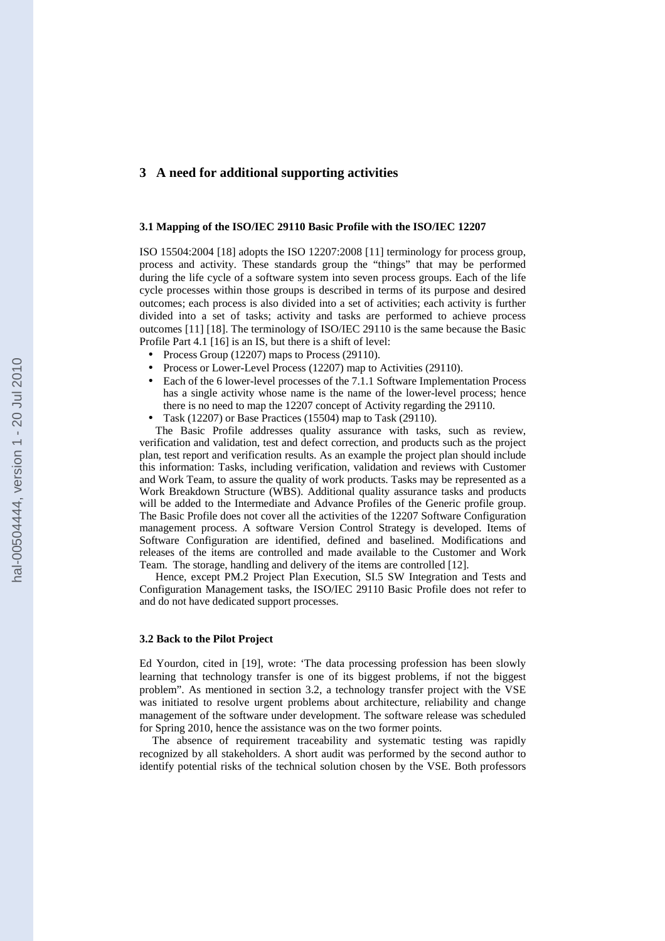## **3 A need for additional supporting activities**

## **3.1 Mapping of the ISO/IEC 29110 Basic Profile with the ISO/IEC 12207**

ISO 15504:2004 [18] adopts the ISO 12207:2008 [11] terminology for process group, process and activity. These standards group the "things" that may be performed during the life cycle of a software system into seven process groups. Each of the life cycle processes within those groups is described in terms of its purpose and desired outcomes; each process is also divided into a set of activities; each activity is further divided into a set of tasks; activity and tasks are performed to achieve process outcomes [11] [18]. The terminology of ISO/IEC 29110 is the same because the Basic Profile Part 4.1 [16] is an IS, but there is a shift of level:

- Process Group (12207) maps to Process (29110).
- Process or Lower-Level Process (12207) map to Activities (29110).
- Each of the 6 lower-level processes of the 7.1.1 Software Implementation Process has a single activity whose name is the name of the lower-level process; hence there is no need to map the 12207 concept of Activity regarding the 29110.
- Task (12207) or Base Practices (15504) map to Task (29110).

The Basic Profile addresses quality assurance with tasks, such as review, verification and validation, test and defect correction, and products such as the project plan, test report and verification results. As an example the project plan should include this information: Tasks, including verification, validation and reviews with Customer and Work Team, to assure the quality of work products. Tasks may be represented as a Work Breakdown Structure (WBS). Additional quality assurance tasks and products will be added to the Intermediate and Advance Profiles of the Generic profile group. The Basic Profile does not cover all the activities of the 12207 Software Configuration management process. A software Version Control Strategy is developed. Items of Software Configuration are identified, defined and baselined. Modifications and releases of the items are controlled and made available to the Customer and Work Team. The storage, handling and delivery of the items are controlled [12].

Hence, except PM.2 Project Plan Execution, SI.5 SW Integration and Tests and Configuration Management tasks, the ISO/IEC 29110 Basic Profile does not refer to and do not have dedicated support processes.

#### **3.2 Back to the Pilot Project**

Ed Yourdon, cited in [19], wrote: 'The data processing profession has been slowly learning that technology transfer is one of its biggest problems, if not the biggest problem". As mentioned in section 3.2, a technology transfer project with the VSE was initiated to resolve urgent problems about architecture, reliability and change management of the software under development. The software release was scheduled for Spring 2010, hence the assistance was on the two former points.

The absence of requirement traceability and systematic testing was rapidly recognized by all stakeholders. A short audit was performed by the second author to identify potential risks of the technical solution chosen by the VSE. Both professors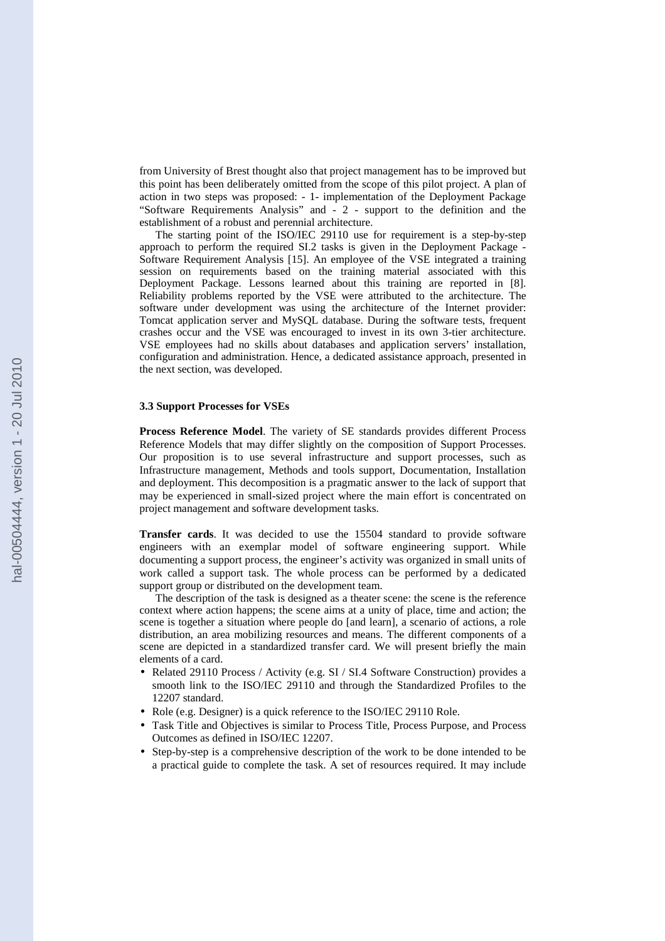from University of Brest thought also that project management has to be improved but this point has been deliberately omitted from the scope of this pilot project. A plan of action in two steps was proposed: - 1- implementation of the Deployment Package "Software Requirements Analysis" and - 2 - support to the definition and the establishment of a robust and perennial architecture.

The starting point of the ISO/IEC 29110 use for requirement is a step-by-step approach to perform the required SI.2 tasks is given in the Deployment Package - Software Requirement Analysis [15]. An employee of the VSE integrated a training session on requirements based on the training material associated with this Deployment Package. Lessons learned about this training are reported in [8]. Reliability problems reported by the VSE were attributed to the architecture. The software under development was using the architecture of the Internet provider: Tomcat application server and MySQL database. During the software tests, frequent crashes occur and the VSE was encouraged to invest in its own 3-tier architecture. VSE employees had no skills about databases and application servers' installation, configuration and administration. Hence, a dedicated assistance approach, presented in the next section, was developed.

#### **3.3 Support Processes for VSEs**

**Process Reference Model**. The variety of SE standards provides different Process Reference Models that may differ slightly on the composition of Support Processes. Our proposition is to use several infrastructure and support processes, such as Infrastructure management, Methods and tools support, Documentation, Installation and deployment. This decomposition is a pragmatic answer to the lack of support that may be experienced in small-sized project where the main effort is concentrated on project management and software development tasks.

**Transfer cards**. It was decided to use the 15504 standard to provide software engineers with an exemplar model of software engineering support. While documenting a support process, the engineer's activity was organized in small units of work called a support task. The whole process can be performed by a dedicated support group or distributed on the development team.

The description of the task is designed as a theater scene: the scene is the reference context where action happens; the scene aims at a unity of place, time and action; the scene is together a situation where people do [and learn], a scenario of actions, a role distribution, an area mobilizing resources and means. The different components of a scene are depicted in a standardized transfer card. We will present briefly the main elements of a card.

- Related 29110 Process / Activity (e.g. SI / SI.4 Software Construction) provides a smooth link to the ISO/IEC 29110 and through the Standardized Profiles to the 12207 standard.
- Role (e.g. Designer) is a quick reference to the ISO/IEC 29110 Role.
- Task Title and Objectives is similar to Process Title, Process Purpose, and Process Outcomes as defined in ISO/IEC 12207.
- Step-by-step is a comprehensive description of the work to be done intended to be a practical guide to complete the task. A set of resources required. It may include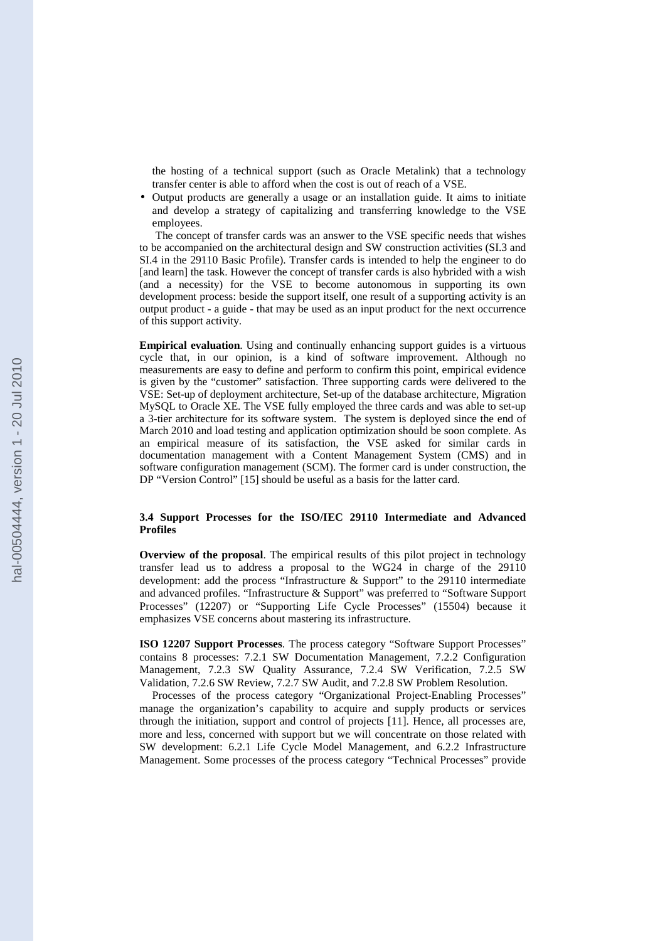the hosting of a technical support (such as Oracle Metalink) that a technology transfer center is able to afford when the cost is out of reach of a VSE.

• Output products are generally a usage or an installation guide. It aims to initiate and develop a strategy of capitalizing and transferring knowledge to the VSE employees.

The concept of transfer cards was an answer to the VSE specific needs that wishes to be accompanied on the architectural design and SW construction activities (SI.3 and SI.4 in the 29110 Basic Profile). Transfer cards is intended to help the engineer to do [and learn] the task. However the concept of transfer cards is also hybrided with a wish (and a necessity) for the VSE to become autonomous in supporting its own development process: beside the support itself, one result of a supporting activity is an output product - a guide - that may be used as an input product for the next occurrence of this support activity.

**Empirical evaluation**. Using and continually enhancing support guides is a virtuous cycle that, in our opinion, is a kind of software improvement. Although no measurements are easy to define and perform to confirm this point, empirical evidence is given by the "customer" satisfaction. Three supporting cards were delivered to the VSE: Set-up of deployment architecture, Set-up of the database architecture, Migration MySQL to Oracle XE. The VSE fully employed the three cards and was able to set-up a 3-tier architecture for its software system. The system is deployed since the end of March 2010 and load testing and application optimization should be soon complete. As an empirical measure of its satisfaction, the VSE asked for similar cards in documentation management with a Content Management System (CMS) and in software configuration management (SCM). The former card is under construction, the DP "Version Control" [15] should be useful as a basis for the latter card.

## **3.4 Support Processes for the ISO/IEC 29110 Intermediate and Advanced Profiles**

**Overview of the proposal**. The empirical results of this pilot project in technology transfer lead us to address a proposal to the WG24 in charge of the 29110 development: add the process "Infrastructure  $\&$  Support" to the 29110 intermediate and advanced profiles. "Infrastructure & Support" was preferred to "Software Support Processes" (12207) or "Supporting Life Cycle Processes" (15504) because it emphasizes VSE concerns about mastering its infrastructure.

**ISO 12207 Support Processes**. The process category "Software Support Processes" contains 8 processes: 7.2.1 SW Documentation Management, 7.2.2 Configuration Management, 7.2.3 SW Quality Assurance, 7.2.4 SW Verification, 7.2.5 SW Validation, 7.2.6 SW Review, 7.2.7 SW Audit, and 7.2.8 SW Problem Resolution.

Processes of the process category "Organizational Project-Enabling Processes" manage the organization's capability to acquire and supply products or services through the initiation, support and control of projects [11]. Hence, all processes are, more and less, concerned with support but we will concentrate on those related with SW development: 6.2.1 Life Cycle Model Management, and 6.2.2 Infrastructure Management. Some processes of the process category "Technical Processes" provide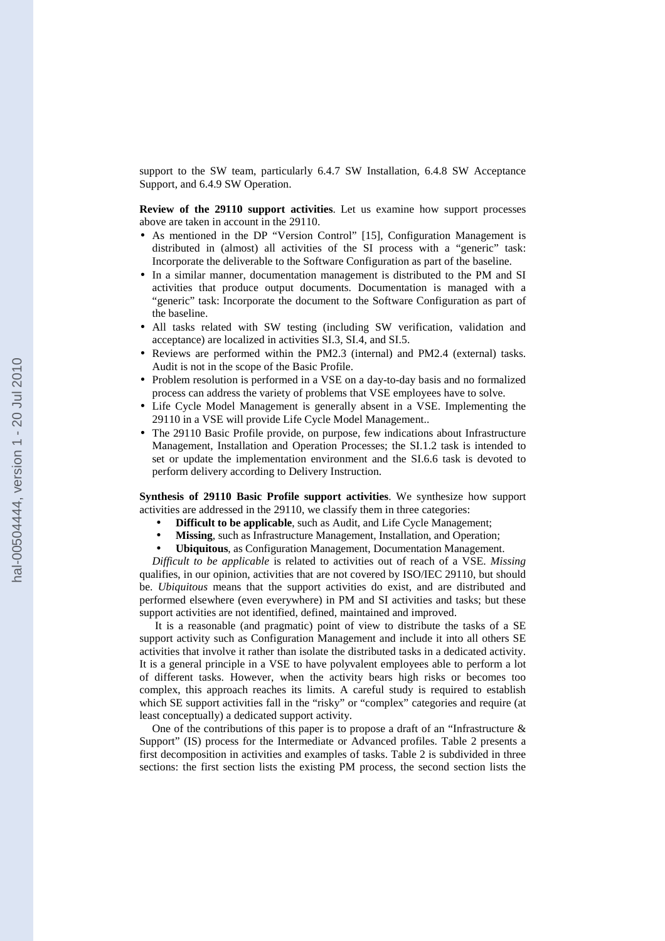support to the SW team, particularly 6.4.7 SW Installation, 6.4.8 SW Acceptance Support, and 6.4.9 SW Operation.

**Review of the 29110 support activities**. Let us examine how support processes above are taken in account in the 29110.

- As mentioned in the DP "Version Control" [15], Configuration Management is distributed in (almost) all activities of the SI process with a "generic" task: Incorporate the deliverable to the Software Configuration as part of the baseline.
- In a similar manner, documentation management is distributed to the PM and SI activities that produce output documents. Documentation is managed with a "generic" task: Incorporate the document to the Software Configuration as part of the baseline.
- All tasks related with SW testing (including SW verification, validation and acceptance) are localized in activities SI.3, SI.4, and SI.5.
- Reviews are performed within the PM2.3 (internal) and PM2.4 (external) tasks. Audit is not in the scope of the Basic Profile.
- Problem resolution is performed in a VSE on a day-to-day basis and no formalized process can address the variety of problems that VSE employees have to solve.
- Life Cycle Model Management is generally absent in a VSE. Implementing the 29110 in a VSE will provide Life Cycle Model Management..
- The 29110 Basic Profile provide, on purpose, few indications about Infrastructure Management, Installation and Operation Processes; the SI.1.2 task is intended to set or update the implementation environment and the SI.6.6 task is devoted to perform delivery according to Delivery Instruction.

**Synthesis of 29110 Basic Profile support activities**. We synthesize how support activities are addressed in the 29110, we classify them in three categories:

- **Difficult to be applicable**, such as Audit, and Life Cycle Management;
- **Missing**, such as Infrastructure Management, Installation, and Operation;
- **Ubiquitous**, as Configuration Management, Documentation Management.

*Difficult to be applicable* is related to activities out of reach of a VSE. *Missing* qualifies, in our opinion, activities that are not covered by ISO/IEC 29110, but should be. *Ubiquitous* means that the support activities do exist, and are distributed and performed elsewhere (even everywhere) in PM and SI activities and tasks; but these support activities are not identified, defined, maintained and improved.

 It is a reasonable (and pragmatic) point of view to distribute the tasks of a SE support activity such as Configuration Management and include it into all others SE activities that involve it rather than isolate the distributed tasks in a dedicated activity. It is a general principle in a VSE to have polyvalent employees able to perform a lot of different tasks. However, when the activity bears high risks or becomes too complex, this approach reaches its limits. A careful study is required to establish which SE support activities fall in the "risky" or "complex" categories and require (at least conceptually) a dedicated support activity.

One of the contributions of this paper is to propose a draft of an "Infrastructure  $\&$ Support" (IS) process for the Intermediate or Advanced profiles. Table 2 presents a first decomposition in activities and examples of tasks. Table 2 is subdivided in three sections: the first section lists the existing PM process, the second section lists the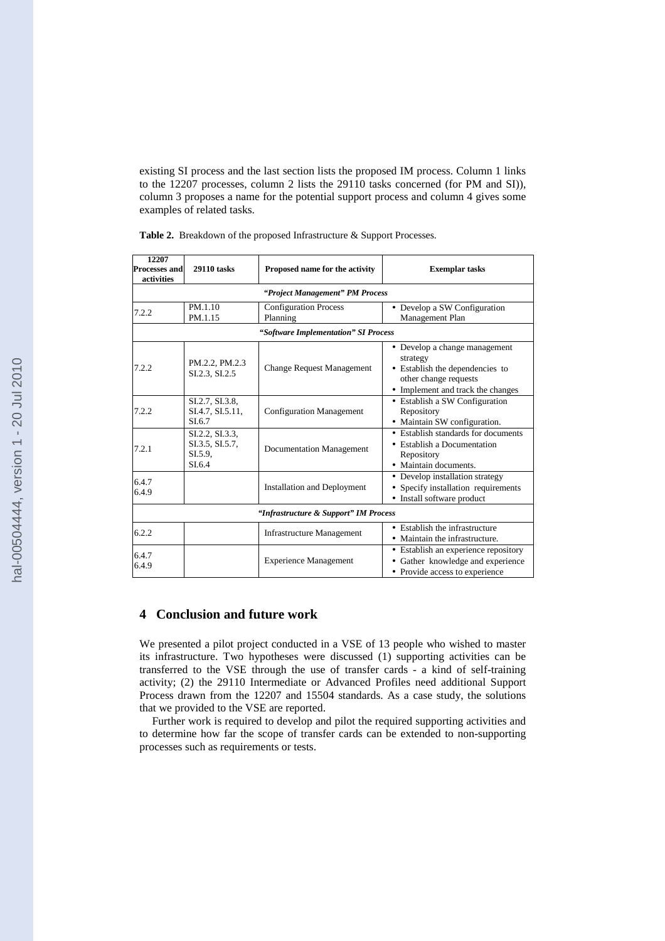existing SI process and the last section lists the proposed IM process. Column 1 links to the 12207 processes, column 2 lists the 29110 tasks concerned (for PM and SI)), column 3 proposes a name for the potential support process and column 4 gives some examples of related tasks.

| 12207<br><b>Processes and</b>         | <b>29110 tasks</b>                                       | Proposed name for the activity           | <b>Exemplar tasks</b>                                                                                                                      |  |
|---------------------------------------|----------------------------------------------------------|------------------------------------------|--------------------------------------------------------------------------------------------------------------------------------------------|--|
| activities                            |                                                          |                                          |                                                                                                                                            |  |
| "Project Management" PM Process       |                                                          |                                          |                                                                                                                                            |  |
| 7.2.2                                 | PM.1.10<br>PM.1.15                                       | <b>Configuration Process</b><br>Planning | • Develop a SW Configuration<br>Management Plan                                                                                            |  |
| "Software Implementation" SI Process  |                                                          |                                          |                                                                                                                                            |  |
| 7.2.2                                 | PM.2.2, PM.2.3<br>SI.2.3, SI.2.5                         | <b>Change Request Management</b>         | • Develop a change management<br>strategy<br>• Establish the dependencies to<br>other change requests<br>• Implement and track the changes |  |
| 7.2.2                                 | SI.2.7, SI.3.8,<br>SI.4.7, SI.5.11,<br>SL <sub>6.7</sub> | <b>Configuration Management</b>          | • Establish a SW Configuration<br>Repository<br>• Maintain SW configuration.                                                               |  |
| 7.2.1                                 | SI.2.2, SI.3.3,<br>SI.3.5, SI.5.7,<br>SI.5.9,<br>SI.6.4  | Documentation Management                 | • Establish standards for documents<br>• Establish a Documentation<br>Repository<br>• Maintain documents.                                  |  |
| 6.4.7<br>6.4.9                        |                                                          | <b>Installation and Deployment</b>       | • Develop installation strategy<br>Specify installation requirements<br>• Install software product                                         |  |
| "Infrastructure & Support" IM Process |                                                          |                                          |                                                                                                                                            |  |
| 6.2.2                                 |                                                          | <b>Infrastructure Management</b>         | • Establish the infrastructure<br>• Maintain the infrastructure.                                                                           |  |
| 6.4.7<br>6.4.9                        |                                                          | <b>Experience Management</b>             | • Establish an experience repository<br>Gather knowledge and experience<br>٠<br>• Provide access to experience                             |  |

**Table 2.** Breakdown of the proposed Infrastructure & Support Processes.

## **4 Conclusion and future work**

We presented a pilot project conducted in a VSE of 13 people who wished to master its infrastructure. Two hypotheses were discussed (1) supporting activities can be transferred to the VSE through the use of transfer cards - a kind of self-training activity; (2) the 29110 Intermediate or Advanced Profiles need additional Support Process drawn from the 12207 and 15504 standards. As a case study, the solutions that we provided to the VSE are reported.

Further work is required to develop and pilot the required supporting activities and to determine how far the scope of transfer cards can be extended to non-supporting processes such as requirements or tests.